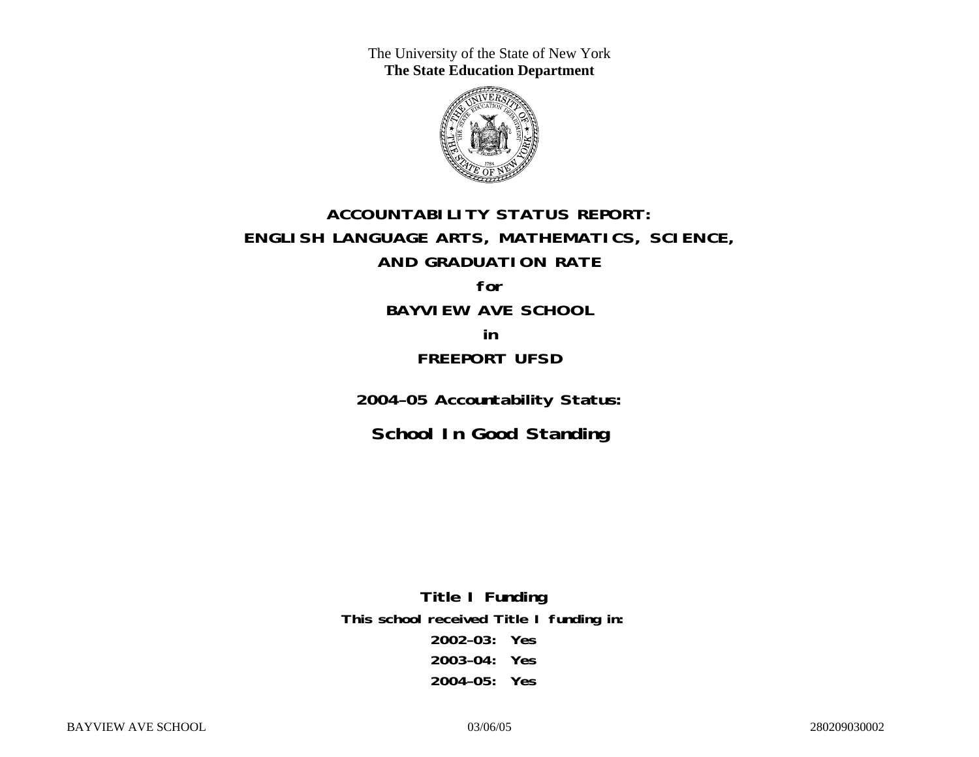The University of the State of New York **The State Education Department** 



# **ACCOUNTABILITY STATUS REPORT: ENGLISH LANGUAGE ARTS, MATHEMATICS, SCIENCE, AND GRADUATION RATE for BAYVIEW AVE SCHOOL**

**in FREEPORT UFSD** 

**2004–05 Accountability Status:** 

**School In Good Standing** 

**Title I Funding This school received Title I funding in: 2002–03: Yes 2003–04: Yes 2004–05: Yes**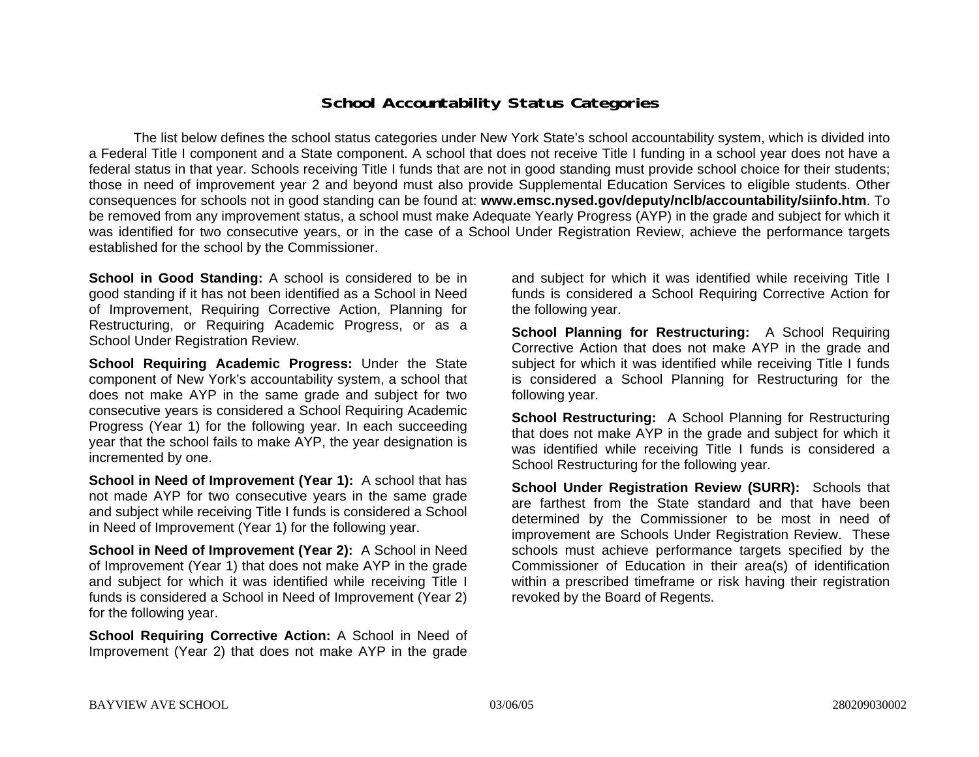### **School Accountability Status Categories**

The list below defines the school status categories under New York State's school accountability system, which is divided into a Federal Title I component and a State component. A school that does not receive Title I funding in a school year does not have a federal status in that year. Schools receiving Title I funds that are not in good standing must provide school choice for their students; those in need of improvement year 2 and beyond must also provide Supplemental Education Services to eligible students. Other consequences for schools not in good standing can be found at: **www.emsc.nysed.gov/deputy/nclb/accountability/siinfo.htm**. To be removed from any improvement status, a school must make Adequate Yearly Progress (AYP) in the grade and subject for which it was identified for two consecutive years, or in the case of a School Under Registration Review, achieve the performance targets established for the school by the Commissioner.

**School in Good Standing:** A school is considered to be in good standing if it has not been identified as a School in Need of Improvement, Requiring Corrective Action, Planning for Restructuring, or Requiring Academic Progress, or as a School Under Registration Review.

**School Requiring Academic Progress:** Under the State component of New York's accountability system, a school that does not make AYP in the same grade and subject for two consecutive years is considered a School Requiring Academic Progress (Year 1) for the following year. In each succeeding year that the school fails to make AYP, the year designation is incremented by one.

**School in Need of Improvement (Year 1):** A school that has not made AYP for two consecutive years in the same grade and subject while receiving Title I funds is considered a School in Need of Improvement (Year 1) for the following year.

**School in Need of Improvement (Year 2):** A School in Need of Improvement (Year 1) that does not make AYP in the grade and subject for which it was identified while receiving Title I funds is considered a School in Need of Improvement (Year 2) for the following year.

**School Requiring Corrective Action:** A School in Need of Improvement (Year 2) that does not make AYP in the grade

and subject for which it was identified while receiving Title I funds is considered a School Requiring Corrective Action for the following year.

**School Planning for Restructuring:** A School Requiring Corrective Action that does not make AYP in the grade and subject for which it was identified while receiving Title I funds is considered a School Planning for Restructuring for the following year.

**School Restructuring:** A School Planning for Restructuring that does not make AYP in the grade and subject for which it was identified while receiving Title I funds is considered a School Restructuring for the following year.

**School Under Registration Review (SURR):** Schools that are farthest from the State standard and that have been determined by the Commissioner to be most in need of improvement are Schools Under Registration Review. These schools must achieve performance targets specified by the Commissioner of Education in their area(s) of identification within a prescribed timeframe or risk having their registration revoked by the Board of Regents.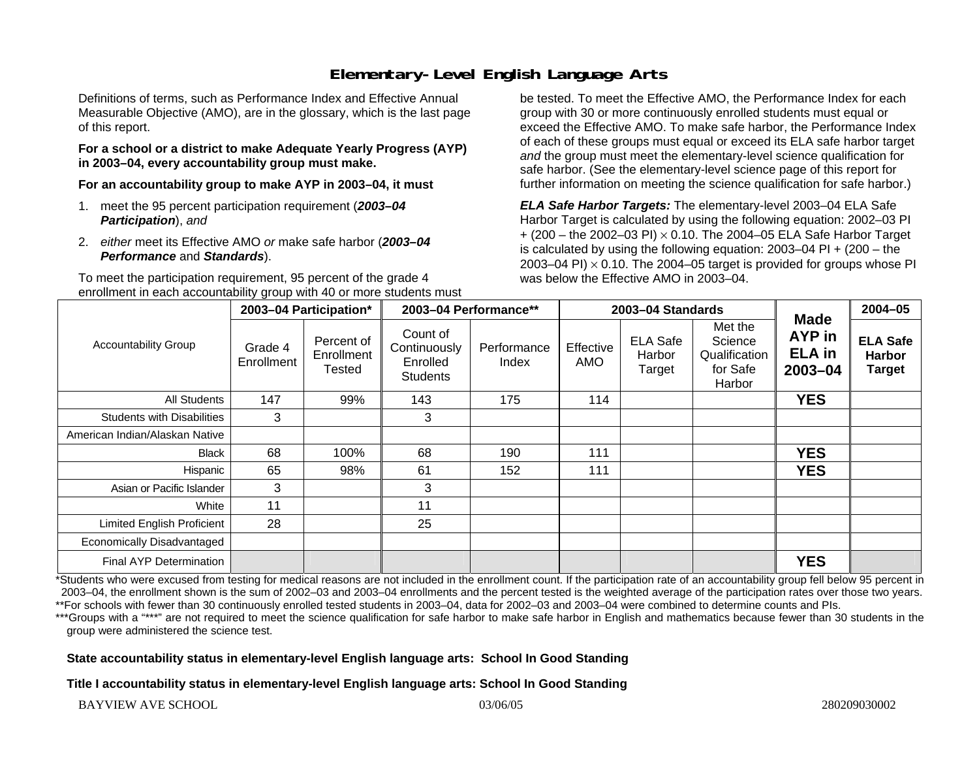# **Elementary-Level English Language Arts**

Definitions of terms, such as Performance Index and Effective Annual Measurable Objective (AMO), are in the glossary, which is the last page of this report.

#### **For a school or a district to make Adequate Yearly Progress (AYP) in 2003–04, every accountability group must make.**

**For an accountability group to make AYP in 2003–04, it must** 

- 1. meet the 95 percent participation requirement (*2003–04 Participation*), *and*
- 2. *either* meet its Effective AMO *or* make safe harbor (*2003–04 Performance* and *Standards*).

To meet the participation requirement, 95 percent of the grade 4 enrollment in each accountability group with 40 or more students must be tested. To meet the Effective AMO, the Performance Index for each group with 30 or more continuously enrolled students must equal or exceed the Effective AMO. To make safe harbor, the Performance Index of each of these groups must equal or exceed its ELA safe harbor target *and* the group must meet the elementary-level science qualification for safe harbor. (See the elementary-level science page of this report for further information on meeting the science qualification for safe harbor.)

*ELA Safe Harbor Targets:* The elementary-level 2003–04 ELA Safe Harbor Target is calculated by using the following equation: 2002–03 PI + (200 – the 2002–03 PI) <sup>×</sup> 0.10. The 2004–05 ELA Safe Harbor Target is calculated by using the following equation: 2003–04 PI + (200 – the 2003–04 PI)  $\times$  0.10. The 2004–05 target is provided for groups whose PI was below the Effective AMO in 2003–04.

| <b>Accountability Group</b>       | 2003-04 Participation* |                                    | 2003-04 Performance**                                   |                      | 2003-04 Standards |                                     |                                                           |                                                              | $2004 - 05$                                       |
|-----------------------------------|------------------------|------------------------------------|---------------------------------------------------------|----------------------|-------------------|-------------------------------------|-----------------------------------------------------------|--------------------------------------------------------------|---------------------------------------------------|
|                                   | Grade 4<br>Enrollment  | Percent of<br>Enrollment<br>Tested | Count of<br>Continuously<br>Enrolled<br><b>Students</b> | Performance<br>Index | Effective<br>AMO  | <b>ELA Safe</b><br>Harbor<br>Target | Met the<br>Science<br>Qualification<br>for Safe<br>Harbor | <b>Made</b><br><b>AYP</b> in<br><b>ELA</b> in<br>$2003 - 04$ | <b>ELA Safe</b><br><b>Harbor</b><br><b>Target</b> |
| All Students                      | 147                    | 99%                                | 143                                                     | 175                  | 114               |                                     |                                                           | <b>YES</b>                                                   |                                                   |
| <b>Students with Disabilities</b> | 3                      |                                    | 3                                                       |                      |                   |                                     |                                                           |                                                              |                                                   |
| American Indian/Alaskan Native    |                        |                                    |                                                         |                      |                   |                                     |                                                           |                                                              |                                                   |
| <b>Black</b>                      | 68                     | 100%                               | 68                                                      | 190                  | 111               |                                     |                                                           | <b>YES</b>                                                   |                                                   |
| Hispanic                          | 65                     | 98%                                | 61                                                      | 152                  | 111               |                                     |                                                           | <b>YES</b>                                                   |                                                   |
| Asian or Pacific Islander         | 3                      |                                    | 3                                                       |                      |                   |                                     |                                                           |                                                              |                                                   |
| White                             | 11                     |                                    | 11                                                      |                      |                   |                                     |                                                           |                                                              |                                                   |
| Limited English Proficient        | 28                     |                                    | 25                                                      |                      |                   |                                     |                                                           |                                                              |                                                   |
| Economically Disadvantaged        |                        |                                    |                                                         |                      |                   |                                     |                                                           |                                                              |                                                   |
| <b>Final AYP Determination</b>    |                        |                                    |                                                         |                      |                   |                                     |                                                           | <b>YES</b>                                                   |                                                   |

\*Students who were excused from testing for medical reasons are not included in the enrollment count. If the participation rate of an accountability group fell below 95 percent in 2003–04, the enrollment shown is the sum of 2002–03 and 2003–04 enrollments and the percent tested is the weighted average of the participation rates over those two years. \*\*For schools with fewer than 30 continuously enrolled tested students in 2003–04, data for 2002–03 and 2003–04 were combined to determine counts and PIs.

\*\*\*Groups with a "\*\*\*" are not required to meet the science qualification for safe harbor to make safe harbor in English and mathematics because fewer than 30 students in the group were administered the science test.

#### **State accountability status in elementary-level English language arts: School In Good Standing**

**Title I accountability status in elementary-level English language arts: School In Good Standing**

BAYVIEW AVE SCHOOL 03/06/05 280209030002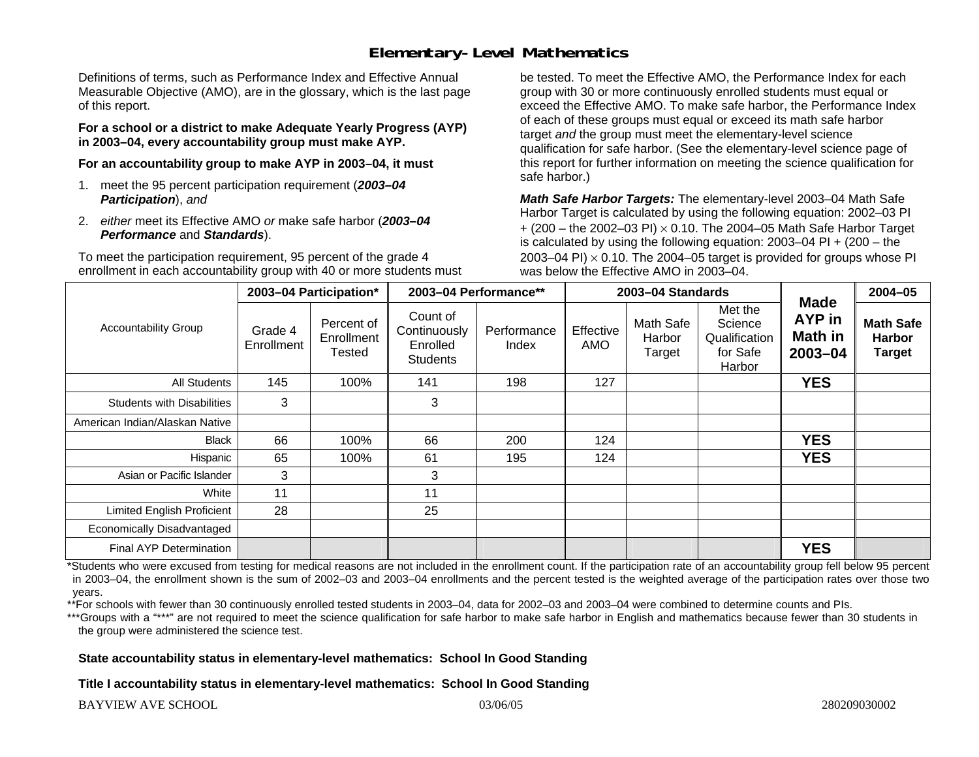### **Elementary-Level Mathematics**

Definitions of terms, such as Performance Index and Effective Annual Measurable Objective (AMO), are in the glossary, which is the last page of this report.

**For a school or a district to make Adequate Yearly Progress (AYP) in 2003–04, every accountability group must make AYP.** 

**For an accountability group to make AYP in 2003–04, it must** 

- 1. meet the 95 percent participation requirement (*2003–04 Participation*), *and*
- 2. *either* meet its Effective AMO *or* make safe harbor (*2003–04 Performance* and *Standards*).

To meet the participation requirement, 95 percent of the grade 4 enrollment in each accountability group with 40 or more students must be tested. To meet the Effective AMO, the Performance Index for each group with 30 or more continuously enrolled students must equal or exceed the Effective AMO. To make safe harbor, the Performance Index of each of these groups must equal or exceed its math safe harbor target *and* the group must meet the elementary-level science qualification for safe harbor. (See the elementary-level science page of this report for further information on meeting the science qualification for safe harbor.)

*Math Safe Harbor Targets:* The elementary-level 2003–04 Math Safe Harbor Target is calculated by using the following equation: 2002–03 PI + (200 – the 2002–03 PI) <sup>×</sup> 0.10. The 2004–05 Math Safe Harbor Target is calculated by using the following equation: 2003–04 PI + (200 – the 2003–04 PI)  $\times$  0.10. The 2004–05 target is provided for groups whose PI was below the Effective AMO in 2003–04.

| <b>Accountability Group</b>       | 2003-04 Participation* |                                    | 2003-04 Performance**                                   |                      | 2003-04 Standards |                               |                                                           |                                                    | 2004-05                                            |
|-----------------------------------|------------------------|------------------------------------|---------------------------------------------------------|----------------------|-------------------|-------------------------------|-----------------------------------------------------------|----------------------------------------------------|----------------------------------------------------|
|                                   | Grade 4<br>Enrollment  | Percent of<br>Enrollment<br>Tested | Count of<br>Continuously<br>Enrolled<br><b>Students</b> | Performance<br>Index | Effective<br>AMO  | Math Safe<br>Harbor<br>Target | Met the<br>Science<br>Qualification<br>for Safe<br>Harbor | <b>Made</b><br><b>AYP</b> in<br>Math in<br>2003-04 | <b>Math Safe</b><br><b>Harbor</b><br><b>Target</b> |
| All Students                      | 145                    | 100%                               | 141                                                     | 198                  | 127               |                               |                                                           | <b>YES</b>                                         |                                                    |
| <b>Students with Disabilities</b> | 3                      |                                    | 3                                                       |                      |                   |                               |                                                           |                                                    |                                                    |
| American Indian/Alaskan Native    |                        |                                    |                                                         |                      |                   |                               |                                                           |                                                    |                                                    |
| <b>Black</b>                      | 66                     | 100%                               | 66                                                      | 200                  | 124               |                               |                                                           | <b>YES</b>                                         |                                                    |
| Hispanic                          | 65                     | 100%                               | 61                                                      | 195                  | 124               |                               |                                                           | <b>YES</b>                                         |                                                    |
| Asian or Pacific Islander         | 3                      |                                    | 3                                                       |                      |                   |                               |                                                           |                                                    |                                                    |
| White                             | 11                     |                                    | 11                                                      |                      |                   |                               |                                                           |                                                    |                                                    |
| <b>Limited English Proficient</b> | 28                     |                                    | 25                                                      |                      |                   |                               |                                                           |                                                    |                                                    |
| Economically Disadvantaged        |                        |                                    |                                                         |                      |                   |                               |                                                           |                                                    |                                                    |
| <b>Final AYP Determination</b>    |                        |                                    |                                                         |                      |                   |                               |                                                           | <b>YES</b>                                         |                                                    |

\*Students who were excused from testing for medical reasons are not included in the enrollment count. If the participation rate of an accountability group fell below 95 percent in 2003–04, the enrollment shown is the sum of 2002–03 and 2003–04 enrollments and the percent tested is the weighted average of the participation rates over those two years.

\*\*For schools with fewer than 30 continuously enrolled tested students in 2003–04, data for 2002–03 and 2003–04 were combined to determine counts and PIs.

\*\*\*Groups with a "\*\*\*" are not required to meet the science qualification for safe harbor to make safe harbor in English and mathematics because fewer than 30 students in the group were administered the science test.

**State accountability status in elementary-level mathematics: School In Good Standing** 

**Title I accountability status in elementary-level mathematics: School In Good Standing**

BAYVIEW AVE SCHOOL 03/06/05 280209030002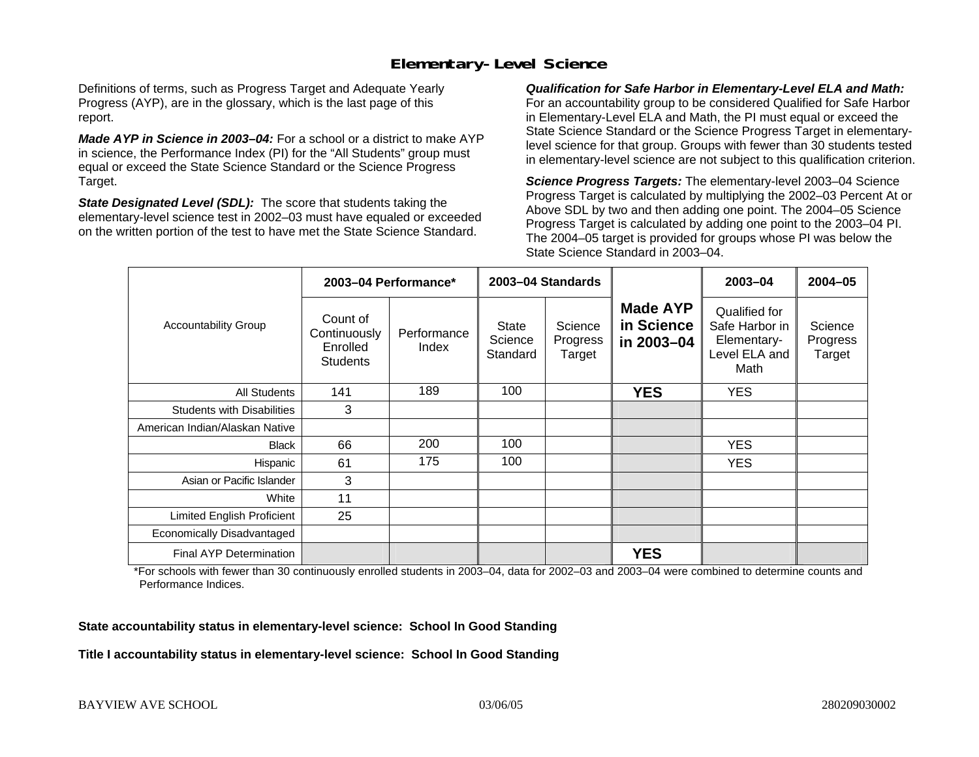## **Elementary-Level Science**

Definitions of terms, such as Progress Target and Adequate Yearly Progress (AYP), are in the glossary, which is the last page of this report.

*Made AYP in Science in 2003–04:* For a school or a district to make AYP in science, the Performance Index (PI) for the "All Students" group must equal or exceed the State Science Standard or the Science Progress Target.

*State Designated Level (SDL):* The score that students taking the elementary-level science test in 2002–03 must have equaled or exceeded on the written portion of the test to have met the State Science Standard.

*Qualification for Safe Harbor in Elementary-Level ELA and Math:* For an accountability group to be considered Qualified for Safe Harbor in Elementary-Level ELA and Math, the PI must equal or exceed the State Science Standard or the Science Progress Target in elementarylevel science for that group. Groups with fewer than 30 students tested in elementary-level science are not subject to this qualification criterion.

*Science Progress Targets:* The elementary-level 2003–04 Science Progress Target is calculated by multiplying the 2002–03 Percent At or Above SDL by two and then adding one point. The 2004–05 Science Progress Target is calculated by adding one point to the 2003–04 PI. The 2004–05 target is provided for groups whose PI was below the State Science Standard in 2003–04.

|                                   |                                                         | 2003-04 Performance* | 2003-04 Standards                   |                               |                                             | $2003 - 04$                                                             | $2004 - 05$                   |
|-----------------------------------|---------------------------------------------------------|----------------------|-------------------------------------|-------------------------------|---------------------------------------------|-------------------------------------------------------------------------|-------------------------------|
| <b>Accountability Group</b>       | Count of<br>Continuously<br>Enrolled<br><b>Students</b> | Performance<br>Index | <b>State</b><br>Science<br>Standard | Science<br>Progress<br>Target | <b>Made AYP</b><br>in Science<br>in 2003-04 | Qualified for<br>Safe Harbor in<br>Elementary-<br>Level ELA and<br>Math | Science<br>Progress<br>Target |
| <b>All Students</b>               | 141                                                     | 189                  | 100                                 |                               | <b>YES</b>                                  | <b>YES</b>                                                              |                               |
| <b>Students with Disabilities</b> | 3                                                       |                      |                                     |                               |                                             |                                                                         |                               |
| American Indian/Alaskan Native    |                                                         |                      |                                     |                               |                                             |                                                                         |                               |
| <b>Black</b>                      | 66                                                      | 200                  | 100                                 |                               |                                             | <b>YES</b>                                                              |                               |
| Hispanic                          | 61                                                      | 175                  | 100                                 |                               |                                             | <b>YES</b>                                                              |                               |
| Asian or Pacific Islander         | 3                                                       |                      |                                     |                               |                                             |                                                                         |                               |
| White                             | 11                                                      |                      |                                     |                               |                                             |                                                                         |                               |
| Limited English Proficient        | 25                                                      |                      |                                     |                               |                                             |                                                                         |                               |
| Economically Disadvantaged        |                                                         |                      |                                     |                               |                                             |                                                                         |                               |
| <b>Final AYP Determination</b>    |                                                         |                      |                                     |                               | <b>YES</b>                                  |                                                                         |                               |

\*For schools with fewer than 30 continuously enrolled students in 2003–04, data for 2002–03 and 2003–04 were combined to determine counts and Performance Indices.

**State accountability status in elementary-level science: School In Good Standing** 

**Title I accountability status in elementary-level science: School In Good Standing**